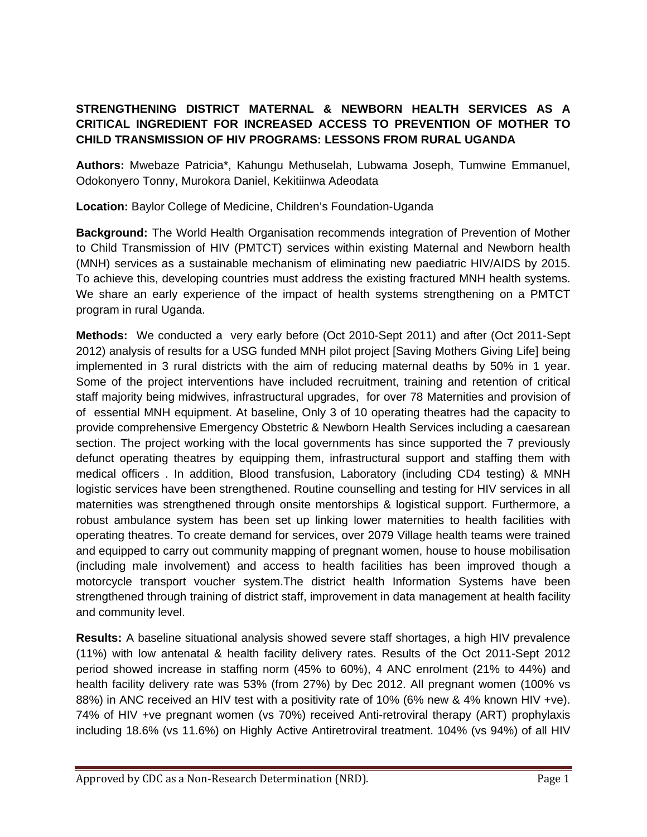## **STRENGTHENING DISTRICT MATERNAL & NEWBORN HEALTH SERVICES AS A CRITICAL INGREDIENT FOR INCREASED ACCESS TO PREVENTION OF MOTHER TO CHILD TRANSMISSION OF HIV PROGRAMS: LESSONS FROM RURAL UGANDA**

**Authors:** Mwebaze Patricia\*, Kahungu Methuselah, Lubwama Joseph, Tumwine Emmanuel, Odokonyero Tonny, Murokora Daniel, Kekitiinwa Adeodata

**Location:** Baylor College of Medicine, Children's Foundation-Uganda

**Background:** The World Health Organisation recommends integration of Prevention of Mother to Child Transmission of HIV (PMTCT) services within existing Maternal and Newborn health (MNH) services as a sustainable mechanism of eliminating new paediatric HIV/AIDS by 2015. To achieve this, developing countries must address the existing fractured MNH health systems. We share an early experience of the impact of health systems strengthening on a PMTCT program in rural Uganda.

**Methods:** We conducted a very early before (Oct 2010-Sept 2011) and after (Oct 2011-Sept 2012) analysis of results for a USG funded MNH pilot project [Saving Mothers Giving Life] being implemented in 3 rural districts with the aim of reducing maternal deaths by 50% in 1 year. Some of the project interventions have included recruitment, training and retention of critical staff majority being midwives, infrastructural upgrades, for over 78 Maternities and provision of of essential MNH equipment. At baseline, Only 3 of 10 operating theatres had the capacity to provide comprehensive Emergency Obstetric & Newborn Health Services including a caesarean section. The project working with the local governments has since supported the 7 previously defunct operating theatres by equipping them, infrastructural support and staffing them with medical officers . In addition, Blood transfusion, Laboratory (including CD4 testing) & MNH logistic services have been strengthened. Routine counselling and testing for HIV services in all maternities was strengthened through onsite mentorships & logistical support. Furthermore, a robust ambulance system has been set up linking lower maternities to health facilities with operating theatres. To create demand for services, over 2079 Village health teams were trained and equipped to carry out community mapping of pregnant women, house to house mobilisation (including male involvement) and access to health facilities has been improved though a motorcycle transport voucher system.The district health Information Systems have been strengthened through training of district staff, improvement in data management at health facility and community level.

**Results:** A baseline situational analysis showed severe staff shortages, a high HIV prevalence (11%) with low antenatal & health facility delivery rates. Results of the Oct 2011-Sept 2012 period showed increase in staffing norm (45% to 60%), 4 ANC enrolment (21% to 44%) and health facility delivery rate was 53% (from 27%) by Dec 2012. All pregnant women (100% vs 88%) in ANC received an HIV test with a positivity rate of 10% (6% new & 4% known HIV +ve). 74% of HIV +ve pregnant women (vs 70%) received Anti-retroviral therapy (ART) prophylaxis including 18.6% (vs 11.6%) on Highly Active Antiretroviral treatment. 104% (vs 94%) of all HIV